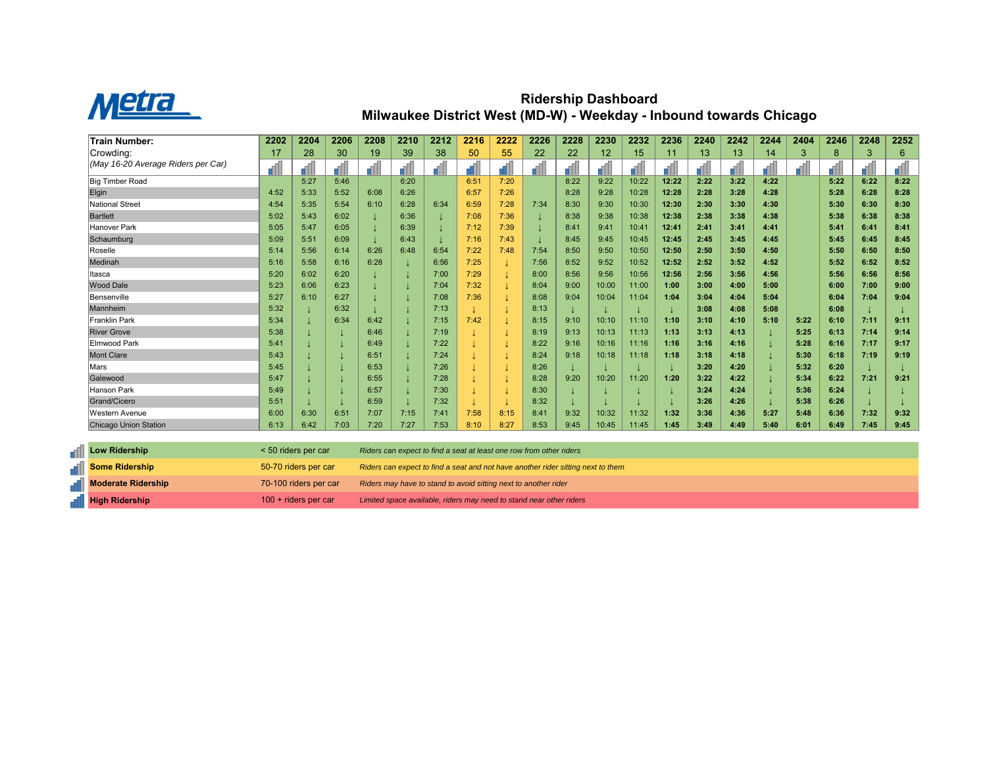

## **Ridership Dashboard Milwaukee District West (MD-W) - Weekday - Inbound towards Chicago**

| <b>Train Number:</b>               | 2202 | 2204 | 2206 | 2208 | 2210 | 2212 | 2216 | 2222 | 2226 | 2228 | 2230  | 2232  | 2236  | 2240 | 2242 | 2244 | 2404 | 2246 | 2248 | 2252 |
|------------------------------------|------|------|------|------|------|------|------|------|------|------|-------|-------|-------|------|------|------|------|------|------|------|
| Crowding:                          | 17   | 28   | 30   | 19   | 39   | 38   | 50   | 55   | 22   | 22   | 12    | 15    | 11    | 13   | 13   | 14   | 3    | 8    | 3    | 6    |
| (May 16-20 Average Riders per Car) |      |      |      |      |      |      |      |      |      |      |       |       |       |      |      |      | dh.  |      |      |      |
| <b>Big Timber Road</b>             |      | 5:27 | 5:46 |      | 6:20 |      | 6:51 | 7:20 |      | 8:22 | 9:22  | 10:22 | 12:22 | 2:22 | 3:22 | 4:22 |      | 5:22 | 6:22 | 8:22 |
| Elgin                              | 4:52 | 5:33 | 5:52 | 6:08 | 6:26 |      | 6:57 | 7:26 |      | 8:28 | 9:28  | 10:28 | 12:28 | 2:28 | 3:28 | 4:28 |      | 5:28 | 6:28 | 8:28 |
| National Street                    | 4:54 | 5:35 | 5:54 | 6:10 | 6:28 | 6:34 | 6:59 | 7:28 | 7:34 | 8:30 | 9:30  | 10:30 | 12:30 | 2:30 | 3:30 | 4:30 |      | 5:30 | 6:30 | 8:30 |
| <b>Bartlett</b>                    | 5:02 | 5:43 | 6:02 |      | 6:36 |      | 7:08 | 7:36 |      | 8:38 | 9:38  | 10:38 | 12:38 | 2:38 | 3:38 | 4:38 |      | 5:38 | 6:38 | 8:38 |
| Hanover Park                       | 5:05 | 5:47 | 6:05 |      | 6:39 |      | 7:12 | 7:39 |      | 8:41 | 9:41  | 10:41 | 12:41 | 2:41 | 3:41 | 4:41 |      | 5:41 | 6:41 | 8:41 |
| Schaumburg                         | 5:09 | 5:51 | 6:09 |      | 6:43 |      | 7:16 | 7:43 |      | 8:45 | 9:45  | 10:45 | 12:45 | 2:45 | 3:45 | 4:45 |      | 5:45 | 6:45 | 8:45 |
| Roselle                            | 5:14 | 5:56 | 6:14 | 6:26 | 6:48 | 6:54 | 7:22 | 7:48 | 7:54 | 8:50 | 9:50  | 10:50 | 12:50 | 2:50 | 3:50 | 4:50 |      | 5:50 | 6:50 | 8:50 |
| Medinah                            | 5:16 | 5:58 | 6:16 | 6:28 |      | 6:56 | 7:25 |      | 7:56 | 8:52 | 9:52  | 10:52 | 12:52 | 2:52 | 3:52 | 4:52 |      | 5:52 | 6:52 | 8:52 |
| Itasca                             | 5:20 | 6:02 | 6:20 |      |      | 7:00 | 7:29 |      | 8:00 | 8:56 | 9:56  | 10:56 | 12:56 | 2:56 | 3:56 | 4:56 |      | 5:56 | 6:56 | 8:56 |
| <b>Wood Dale</b>                   | 5:23 | 6:06 | 6:23 |      |      | 7:04 | 7:32 |      | 8:04 | 9:00 | 10:00 | 11:00 | 1:00  | 3:00 | 4:00 | 5:00 |      | 6:00 | 7:00 | 9:00 |
| Bensenville                        | 5:27 | 6:10 | 6:27 |      |      | 7:08 | 7:36 |      | 8:08 | 9:04 | 10:04 | 11:04 | 1:04  | 3:04 | 4:04 | 5:04 |      | 6:04 | 7:04 | 9:04 |
| Mannheim                           | 5:32 |      | 6:32 |      |      | 7:13 |      |      | 8:13 |      |       |       |       | 3:08 | 4:08 | 5:08 |      | 6:08 |      |      |
| <b>Franklin Park</b>               | 5:34 |      | 6:34 | 6:42 |      | 7:15 | 7:42 |      | 8:15 | 9:10 | 10:10 | 11:10 | 1:10  | 3:10 | 4:10 | 5:10 | 5:22 | 6:10 | 7:11 | 9:11 |
| <b>River Grove</b>                 | 5:38 |      |      | 6:46 |      | 7:19 |      |      | 8:19 | 9:13 | 10:13 | 11:13 | 1:13  | 3:13 | 4:13 |      | 5:25 | 6:13 | 7:14 | 9:14 |
| <b>Elmwood Park</b>                | 5:41 |      |      | 6:49 |      | 7:22 |      |      | 8:22 | 9:16 | 10:16 | 11:16 | 1:16  | 3:16 | 4:16 |      | 5:28 | 6:16 | 7:17 | 9:17 |
| <b>Mont Clare</b>                  | 5:43 |      |      | 6:51 |      | 7:24 |      |      | 8:24 | 9:18 | 10:18 | 11:18 | 1:18  | 3:18 | 4:18 |      | 5:30 | 6:18 | 7:19 | 9:19 |
| Mars                               | 5:45 |      |      | 6:53 |      | 7:26 |      |      | 8:26 |      |       |       |       | 3:20 | 4:20 |      | 5:32 | 6:20 |      |      |
| Galewood                           | 5:47 |      |      | 6:55 |      | 7:28 |      |      | 8:28 | 9:20 | 10:20 | 11:20 | 1:20  | 3:22 | 4:22 |      | 5:34 | 6:22 | 7:21 | 9:21 |
| <b>Hanson Park</b>                 | 5:49 |      |      | 6:57 |      | 7:30 |      |      | 8:30 |      |       |       |       | 3:24 | 4:24 |      | 5:36 | 6:24 |      |      |
| Grand/Cicero                       | 5:51 |      |      | 6:59 |      | 7:32 |      |      | 8:32 |      |       |       |       | 3:26 | 4:26 |      | 5:38 | 6:26 |      |      |
| <b>Western Avenue</b>              | 6:00 | 6:30 | 6:51 | 7:07 | 7:15 | 7:41 | 7:58 | 8:15 | 8:41 | 9:32 | 10:32 | 11:32 | 1:32  | 3:36 | 4:36 | 5:27 | 5:48 | 6:36 | 7:32 | 9:32 |
| <b>Chicago Union Station</b>       | 6:13 | 6:42 | 7:03 | 7:20 | 7:27 | 7:53 | 8:10 | 8:27 | 8:53 | 9:45 | 10:45 | 11:45 | 1:45  | 3:49 | 4:49 | 5:40 | 6:01 | 6:49 | 7:45 | 9:45 |

| <b>T</b> ill Low Ridership | $< 50$ riders per car  | Riders can expect to find a seat at least one row from other riders              |
|----------------------------|------------------------|----------------------------------------------------------------------------------|
| <b>Some Ridership</b>      | 50-70 riders per car   | Riders can expect to find a seat and not have another rider sitting next to them |
| <b>Noderate Ridership</b>  | 70-100 riders per car  | Riders may have to stand to avoid sitting next to another rider                  |
| <b>High Ridership</b>      | $100 +$ riders per car | Limited space available, riders may need to stand near other riders              |